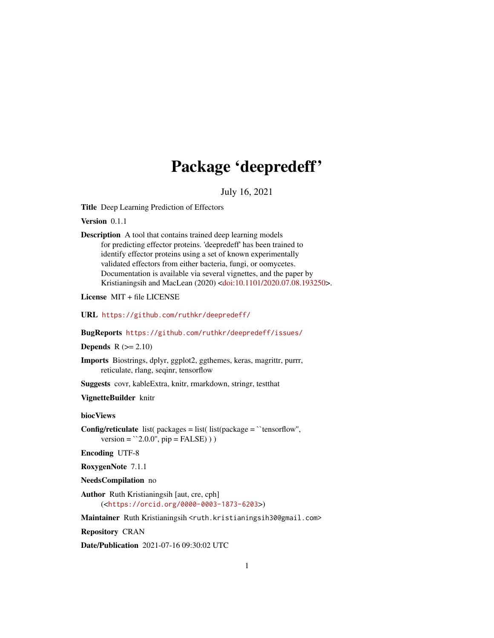## Package 'deepredeff'

July 16, 2021

<span id="page-0-0"></span>Title Deep Learning Prediction of Effectors

Version 0.1.1

```
Description A tool that contains trained deep learning models
      for predicting effector proteins. 'deepredeff' has been trained to
      identify effector proteins using a set of known experimentally
      validated effectors from either bacteria, fungi, or oomycetes.
      Documentation is available via several vignettes, and the paper by
      Kristianingsih and MacLean (2020) <doi:10.1101/2020.07.08.193250>.
```
License MIT + file LICENSE

URL <https://github.com/ruthkr/deepredeff/>

BugReports <https://github.com/ruthkr/deepredeff/issues/>

Depends  $R (= 2.10)$ 

Imports Biostrings, dplyr, ggplot2, ggthemes, keras, magrittr, purrr, reticulate, rlang, seqinr, tensorflow

Suggests covr, kableExtra, knitr, rmarkdown, stringr, testthat

VignetteBuilder knitr

biocViews

**Config/reticulate** list( $package = list($  list( $package = 'tensorflow'.$ version =  $^{\circ}2.0.0^{\prime\prime}$ , pip = FALSE) ) )

Encoding UTF-8

RoxygenNote 7.1.1

NeedsCompilation no

Author Ruth Kristianingsih [aut, cre, cph] (<<https://orcid.org/0000-0003-1873-6203>>)

Maintainer Ruth Kristianingsih <ruth.kristianingsih30@gmail.com>

Repository CRAN

Date/Publication 2021-07-16 09:30:02 UTC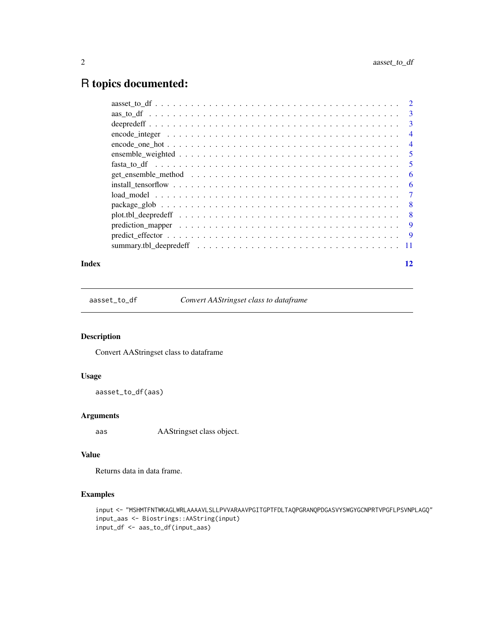### <span id="page-1-0"></span>R topics documented:

|  | $\overline{3}$             |
|--|----------------------------|
|  | $\overline{3}$             |
|  | $\overline{4}$             |
|  | $\overline{4}$             |
|  | $\overline{\phantom{0}}$ 5 |
|  | 5                          |
|  | -6                         |
|  | -6                         |
|  | $\overline{7}$             |
|  | - 8                        |
|  | $\overline{\phantom{0}}8$  |
|  | -9                         |
|  |                            |
|  |                            |
|  |                            |

#### **Index** [12](#page-11-0)

aasset\_to\_df *Convert AAStringset class to dataframe*

#### Description

Convert AAStringset class to dataframe

#### Usage

```
aasset_to_df(aas)
```
#### Arguments

aas AAStringset class object.

#### Value

Returns data in data frame.

```
input <- "MSHMTFNTWKAGLWRLAAAAVLSLLPVVARAAVPGITGPTFDLTAQPGRANQPDGASVYSWGYGCNPRTVPGFLPSVNPLAGQ"
input_aas <- Biostrings::AAString(input)
input_df <- aas_to_df(input_aas)
```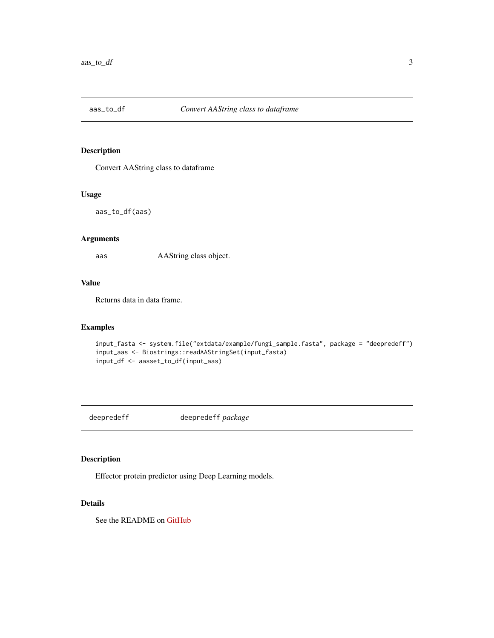<span id="page-2-0"></span>

#### Description

Convert AAString class to dataframe

#### Usage

aas\_to\_df(aas)

#### Arguments

aas AAString class object.

#### Value

Returns data in data frame.

#### Examples

```
input_fasta <- system.file("extdata/example/fungi_sample.fasta", package = "deepredeff")
input_aas <- Biostrings::readAAStringSet(input_fasta)
input_df <- aasset_to_df(input_aas)
```
deepredeff deepredeff *package*

#### Description

Effector protein predictor using Deep Learning models.

#### Details

See the README on [GitHub](https://github.com/ruthkr/deepredeff/)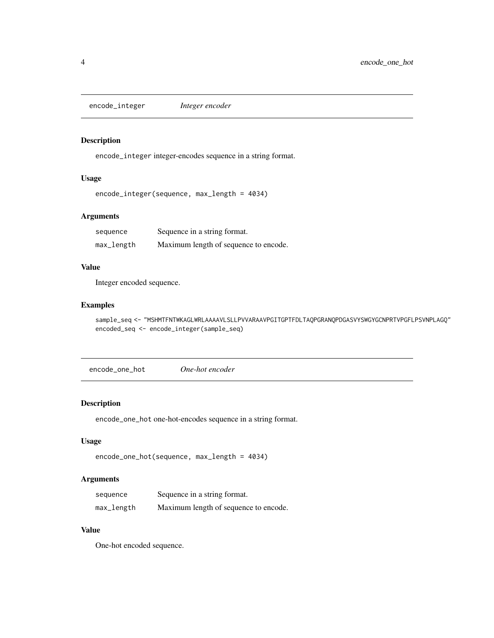<span id="page-3-0"></span>encode\_integer *Integer encoder*

#### Description

encode\_integer integer-encodes sequence in a string format.

#### Usage

```
encode_integer(sequence, max_length = 4034)
```
#### Arguments

| sequence   | Sequence in a string format.          |
|------------|---------------------------------------|
| max_length | Maximum length of sequence to encode. |

#### Value

Integer encoded sequence.

#### Examples

```
sample_seq <- "MSHMTFNTWKAGLWRLAAAAVLSLLPVVARAAVPGITGPTFDLTAQPGRANQPDGASVYSWGYGCNPRTVPGFLPSVNPLAGQ"
encoded_seq <- encode_integer(sample_seq)
```
encode\_one\_hot *One-hot encoder*

#### Description

encode\_one\_hot one-hot-encodes sequence in a string format.

#### Usage

```
encode_one_hot(sequence, max_length = 4034)
```
#### Arguments

| sequence   | Sequence in a string format.          |
|------------|---------------------------------------|
| max_length | Maximum length of sequence to encode. |

#### Value

One-hot encoded sequence.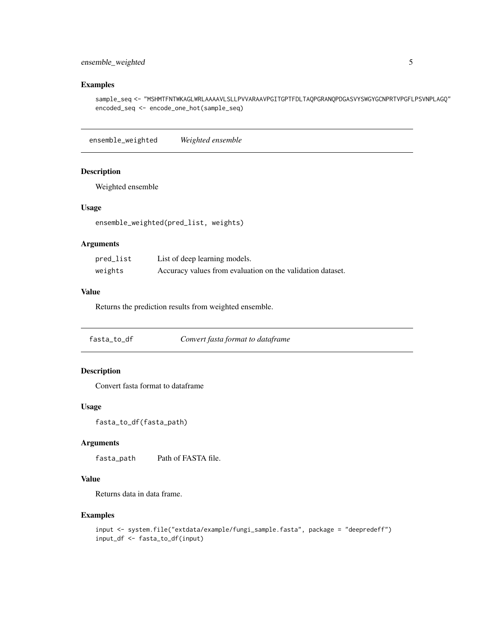#### <span id="page-4-0"></span>ensemble\_weighted 5

#### Examples

sample\_seq <- "MSHMTFNTWKAGLWRLAAAAVLSLLPVVARAAVPGITGPTFDLTAQPGRANQPDGASVYSWGYGCNPRTVPGFLPSVNPLAGQ" encoded\_seq <- encode\_one\_hot(sample\_seq)

ensemble\_weighted *Weighted ensemble*

#### Description

Weighted ensemble

#### Usage

```
ensemble_weighted(pred_list, weights)
```
#### Arguments

| pred_list | List of deep learning models.                              |
|-----------|------------------------------------------------------------|
| weights   | Accuracy values from evaluation on the validation dataset. |

#### Value

Returns the prediction results from weighted ensemble.

fasta\_to\_df *Convert fasta format to dataframe*

#### Description

Convert fasta format to dataframe

#### Usage

```
fasta_to_df(fasta_path)
```
#### Arguments

fasta\_path Path of FASTA file.

#### Value

Returns data in data frame.

```
input <- system.file("extdata/example/fungi_sample.fasta", package = "deepredeff")
input_df <- fasta_to_df(input)
```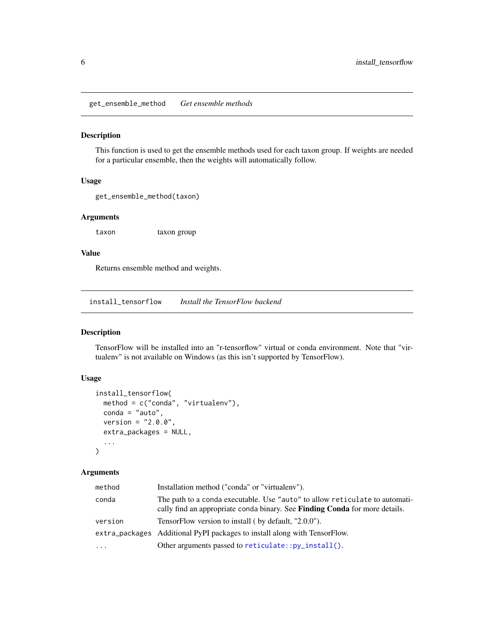<span id="page-5-0"></span>get\_ensemble\_method *Get ensemble methods*

#### Description

This function is used to get the ensemble methods used for each taxon group. If weights are needed for a particular ensemble, then the weights will automatically follow.

#### Usage

```
get_ensemble_method(taxon)
```
#### Arguments

taxon taxon group

#### Value

Returns ensemble method and weights.

install\_tensorflow *Install the TensorFlow backend*

#### Description

TensorFlow will be installed into an "r-tensorflow" virtual or conda environment. Note that "virtualenv" is not available on Windows (as this isn't supported by TensorFlow).

#### Usage

```
install_tensorflow(
 method = c("conda", "virtualenv"),
 \text{conda} = "auto",version = "2.0.0",extra_packages = NULL,
  ...
)
```
#### Arguments

| method    | Installation method ("conda" or "virtualeny").                                                                                                                    |
|-----------|-------------------------------------------------------------------------------------------------------------------------------------------------------------------|
| conda     | The path to a conda executable. Use "auto" to allow reticulate to automati-<br>cally find an appropriate conda binary. See <b>Finding Conda</b> for more details. |
| version   | TensorFlow version to install (by default, "2.0.0").                                                                                                              |
|           | extra_packages Additional PyPI packages to install along with TensorFlow.                                                                                         |
| $\ddotsc$ | Other arguments passed to $reticulate::py\_install()$ .                                                                                                           |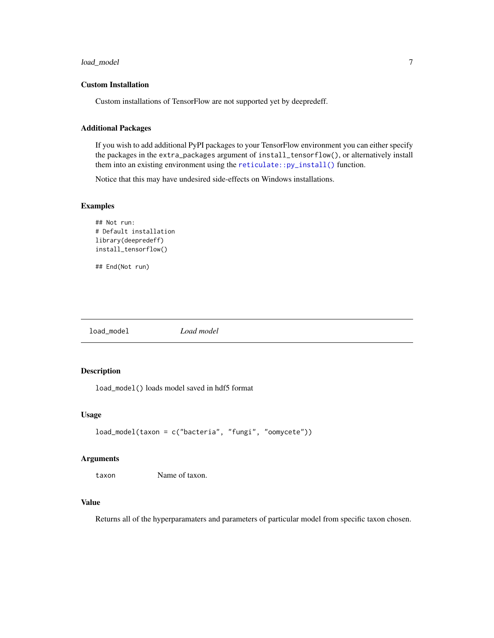#### <span id="page-6-0"></span>load\_model 7

#### Custom Installation

Custom installations of TensorFlow are not supported yet by deepredeff.

#### Additional Packages

If you wish to add additional PyPI packages to your TensorFlow environment you can either specify the packages in the extra\_packages argument of install\_tensorflow(), or alternatively install them into an existing environment using the [reticulate::py\\_install\(\)](#page-0-0) function.

Notice that this may have undesired side-effects on Windows installations.

#### Examples

```
## Not run:
# Default installation
library(deepredeff)
install_tensorflow()
```
## End(Not run)

load\_model *Load model*

#### Description

load\_model() loads model saved in hdf5 format

#### Usage

```
load_model(taxon = c("bacteria", "fungi", "oomycete"))
```
#### **Arguments**

taxon Name of taxon.

#### Value

Returns all of the hyperparamaters and parameters of particular model from specific taxon chosen.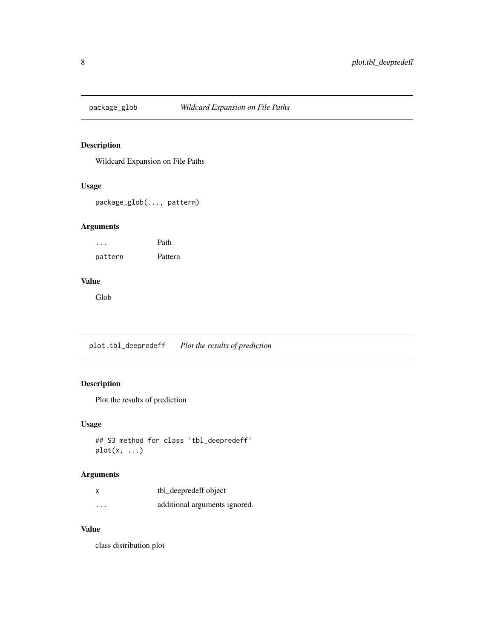<span id="page-7-0"></span>

#### Description

Wildcard Expansion on File Paths

#### Usage

package\_glob(..., pattern)

#### Arguments

... Path pattern Pattern

#### Value

Glob

plot.tbl\_deepredeff *Plot the results of prediction*

#### Description

Plot the results of prediction

#### Usage

```
## S3 method for class 'tbl_deepredeff'
plot(x, \ldots)
```
#### Arguments

|          | tbl_deepredeff object         |
|----------|-------------------------------|
| $\cdots$ | additional arguments ignored. |

#### Value

class distribution plot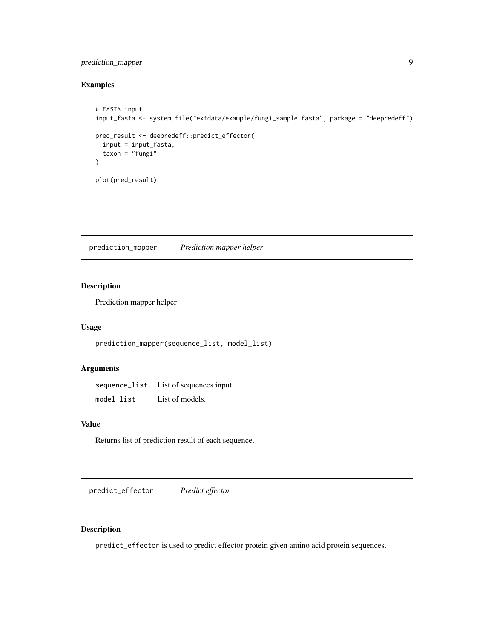#### <span id="page-8-0"></span>prediction\_mapper 9

#### Examples

```
# FASTA input
input_fasta <- system.file("extdata/example/fungi_sample.fasta", package = "deepredeff")
pred_result <- deepredeff::predict_effector(
  input = input_fasta,
  taxon = "fungi")
plot(pred_result)
```
prediction\_mapper *Prediction mapper helper*

#### Description

Prediction mapper helper

#### Usage

prediction\_mapper(sequence\_list, model\_list)

#### Arguments

sequence\_list List of sequences input. model\_list List of models.

#### Value

Returns list of prediction result of each sequence.

predict\_effector *Predict effector*

#### Description

predict\_effector is used to predict effector protein given amino acid protein sequences.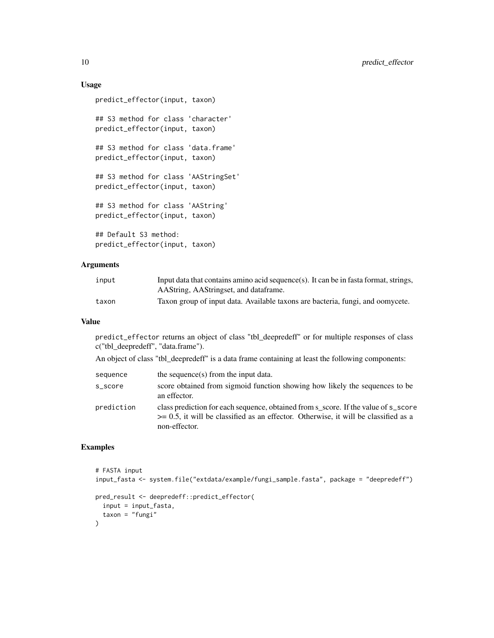#### Usage

```
predict_effector(input, taxon)
## S3 method for class 'character'
predict_effector(input, taxon)
## S3 method for class 'data.frame'
predict_effector(input, taxon)
## S3 method for class 'AAStringSet'
predict_effector(input, taxon)
## S3 method for class 'AAString'
predict_effector(input, taxon)
## Default S3 method:
predict_effector(input, taxon)
```
#### Arguments

| input | Input data that contains amino acid sequence(s). It can be in fasta format, strings, |
|-------|--------------------------------------------------------------------------------------|
|       | AAString, AAStringset, and dataframe.                                                |
| taxon | Taxon group of input data. Available taxons are bacteria, fungi, and oomycete.       |

#### Value

predict\_effector returns an object of class "tbl\_deepredeff" or for multiple responses of class c("tbl\_deepredeff", "data.frame").

An object of class "tbl\_deepredeff" is a data frame containing at least the following components:

| sequence   | the sequence(s) from the input data.                                                                                                                                                            |
|------------|-------------------------------------------------------------------------------------------------------------------------------------------------------------------------------------------------|
| s_score    | score obtained from sigmoid function showing how likely the sequences to be<br>an effector.                                                                                                     |
| prediction | class prediction for each sequence, obtained from s score. If the value of s_score<br>$\ge$ = 0.5, it will be classified as an effector. Otherwise, it will be classified as a<br>non-effector. |

```
# FASTA input
input_fasta <- system.file("extdata/example/fungi_sample.fasta", package = "deepredeff")
pred_result <- deepredeff::predict_effector(
  input = input_fasta,
  taxon = "fungi"
\mathcal{L}
```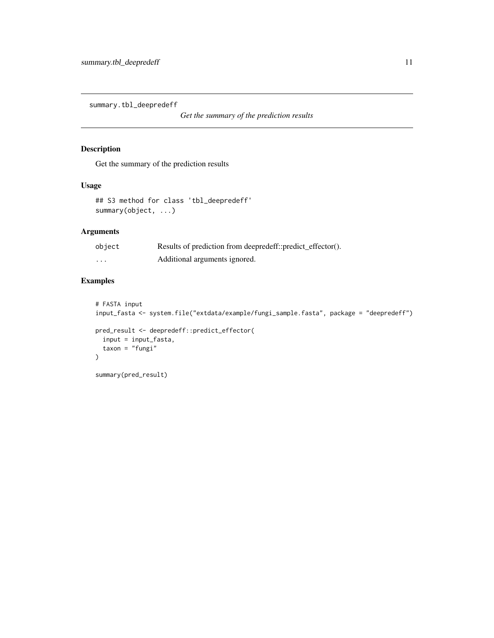<span id="page-10-0"></span>summary.tbl\_deepredeff

*Get the summary of the prediction results*

#### Description

Get the summary of the prediction results

#### Usage

```
## S3 method for class 'tbl_deepredeff'
summary(object, ...)
```
#### Arguments

| object            | Results of prediction from deepredeff::predict_effector(). |
|-------------------|------------------------------------------------------------|
| $\cdot\cdot\cdot$ | Additional arguments ignored.                              |

```
# FASTA input
input_fasta <- system.file("extdata/example/fungi_sample.fasta", package = "deepredeff")
pred_result <- deepredeff::predict_effector(
  input = input_fasta,
  taxon = "fungi"
)
summary(pred_result)
```